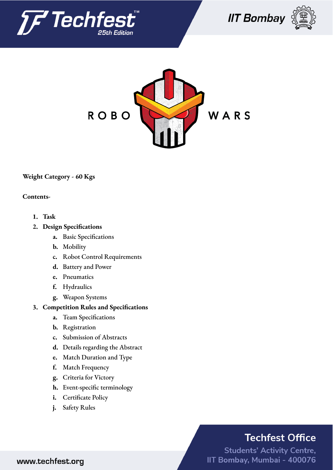







**Weight Category - 60 Kgs**

#### **Contents-**

- **1. Task**
- **2. Design Specifications**
	- **a.** Basic Specifications
	- **b.** Mobility
	- **c.** Robot Control Requirements
	- **d.** Battery and Power
	- **e.** Pneumatics
	- **f.** Hydraulics
	- **g.** Weapon Systems

#### **3. Competition Rules and Specifications**

- **a.** Team Specifications
- **b.** Registration
- **c.** Submission of Abstracts
- **d.** Details regarding the Abstract
- **e.** Match Duration and Type
- **f.** Match Frequency
- **g.** Criteria for Victory
- **h.** Event-specific terminology
- **i.** Certificate Policy
- **j.** Safety Rules

## **Techfest Office**

**Students' Activity Centre,** IIT Bombay, Mumbai - 400076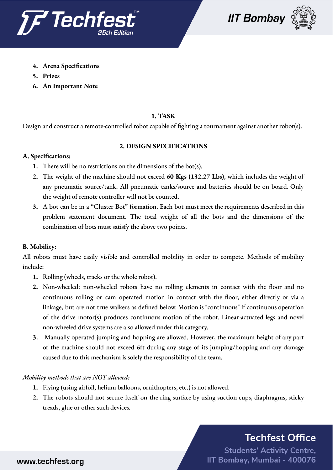





- **4. Arena Specifications**
- **5. Prizes**
- **6. An Important Note**

#### **1. TASK**

Design and construct a remote-controlled robot capable of fighting a tournament against another robot(s).

#### **2. DESIGN SPECIFICATIONS**

#### **A. Specifications:**

- **1.** There will be no restrictions on the dimensions of the bot(s).
- **2.** The weight of the machine should not exceed **60 Kgs (132.27 Lbs)**, which includes the weight of any pneumatic source/tank. All pneumatic tanks/source and batteries should be on board. Only the weight of remote controller will not be counted.
- **3.** A bot can be in a "Cluster Bot" formation. Each bot must meet the requirements described in this problem statement document. The total weight of all the bots and the dimensions of the combination of bots must satisfy the above two points.

#### **B. Mobility:**

All robots must have easily visible and controlled mobility in order to compete. Methods of mobility include:

- **1.** Rolling (wheels, tracks or the whole robot).
- **2.** Non-wheeled: non-wheeled robots have no rolling elements in contact with the floor and no continuous rolling or cam operated motion in contact with the floor, either directly or via a linkage, but are not true walkers as defined below. Motion is "continuous" if continuous operation of the drive motor(s) produces continuous motion of the robot. Linear-actuated legs and novel non-wheeled drive systems are also allowed under this category.
- **3.** Manually operated jumping and hopping are allowed. However, the maximum height of any part of the machine should not exceed 6ft during any stage of its jumping/hopping and any damage caused due to this mechanism is solely the responsibility of the team.

#### *Mobility methods that are NOT allowed:*

- **1.** Flying (using airfoil, helium balloons, ornithopters, etc.) is not allowed.
- **2.** The robots should not secure itself on the ring surface by using suction cups, diaphragms, sticky treads, glue or other such devices.

## **Techfest Office**

**Students' Activity Centre,** IIT Bombay, Mumbai - 400076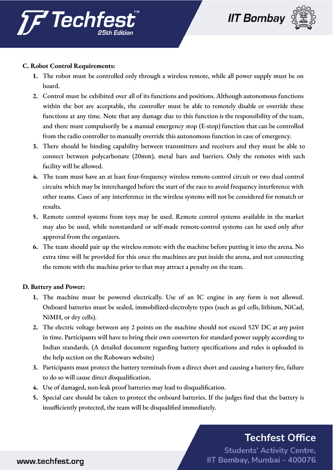



#### **C. Robot Control Requirements:**

- **1.** The robot must be controlled only through a wireless remote, while all power supply must be on board.
- **2.** Control must be exhibited over all of its functions and positions. Although autonomous functions within the bot are acceptable, the controller must be able to remotely disable or override these functions at any time. Note that any damage due to this function is the responsibility of the team, and there must compulsorily be a manual emergency stop (E-stop) function that can be controlled from the radio controller to manually override this autonomous function in case of emergency.
- **3.** There should be binding capability between transmitters and receivers and they must be able to connect between polycarbonate (20mm), metal bars and barriers. Only the remotes with such facility will be allowed.
- **4.** The team must have an at least four-frequency wireless remote-control circuit or two dual control circuits which may be interchanged before the start of the race to avoid frequency interference with other teams. Cases of any interference in the wireless systems will not be considered for rematch or results.
- **5.** Remote control systems from toys may be used. Remote control systems available in the market may also be used, while nonstandard or self-made remote-control systems can be used only after approval from the organizers.
- **6.** The team should pair up the wireless remote with the machine before putting it into the arena. No extra time will be provided for this once the machines are put inside the arena, and not connecting the remote with the machine prior to that may attract a penalty on the team.

#### **D. Battery and Power:**

- **1.** The machine must be powered electrically. Use of an IC engine in any form is not allowed. Onboard batteries must be sealed, immobilized-electrolyte types (such as gel cells, lithium, NiCad, NiMH, or dry cells).
- **2.** The electric voltage between any 2 points on the machine should not exceed 52V DC at any point in time. Participants will have to bring their own converters for standard power supply according to Indian standards. (A detailed document regarding battery specifications and rules is uploaded in the help section on the Robowars website)
- **3.** Participants must protect the battery terminals from a direct short and causing a battery fire, failure to do so will cause direct disqualification.
- **4.** Use of damaged, non-leak proof batteries may lead to disqualification.
- **5.** Special care should be taken to protect the onboard batteries. If the judges find that the battery is insufficiently protected, the team will be disqualified immediately.

# **Techfest Office**

**Students' Activity Centre,** IIT Bombay, Mumbai - 400076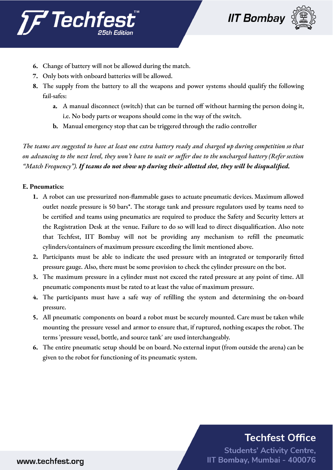



- **6.** Change of battery will not be allowed during the match.
- **7.** Only bots with onboard batteries will be allowed.
- **8.** The supply from the battery to all the weapons and power systems should qualify the following fail-safes:
	- **a.** A manual disconnect (switch) that can be turned off without harming the person doing it, i.e. No body parts or weapons should come in the way of the switch.
	- **b.** Manual emergency stop that can be triggered through the radio controller

The teams are suggested to have at least one extra battery ready and charged up during competition so that on advancing to the next level, they won't have to wait or suffer due to the uncharged battery (Refer section *"Match Frequency"). If teams do not show up during their allotted slot, they will be disqualified.*

#### **E. Pneumatics:**

- **1.** A robot can use pressurized non-flammable gases to actuate pneumatic devices. Maximum allowed outlet nozzle pressure is 50 bars\*. The storage tank and pressure regulators used by teams need to be certified and teams using pneumatics are required to produce the Safety and Security letters at the Registration Desk at the venue. Failure to do so will lead to direct disqualification. Also note that Techfest, IIT Bombay will not be providing any mechanism to refill the pneumatic cylinders/containers of maximum pressure exceeding the limit mentioned above.
- **2.** Participants must be able to indicate the used pressure with an integrated or temporarily fitted pressure gauge. Also, there must be some provision to check the cylinder pressure on the bot.
- **3.** The maximum pressure in a cylinder must not exceed the rated pressure at any point of time. All pneumatic components must be rated to at least the value of maximum pressure.
- **4.** The participants must have a safe way of refilling the system and determining the on-board pressure.
- **5.** All pneumatic components on board a robot must be securely mounted. Care must be taken while mounting the pressure vessel and armor to ensure that, if ruptured, nothing escapes the robot. The terms 'pressure vessel, bottle, and source tank' are used interchangeably.
- **6.** The entire pneumatic setup should be on board. No external input (from outside the arena) can be given to the robot for functioning of its pneumatic system.

## **Techfest Office**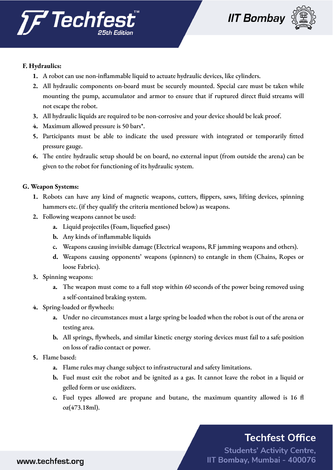



## **F. Hydraulics:**

- **1.** A robot can use non-inflammable liquid to actuate hydraulic devices, like cylinders.
- **2.** All hydraulic components on-board must be securely mounted. Special care must be taken while mounting the pump, accumulator and armor to ensure that if ruptured direct fluid streams will not escape the robot.
- **3.** All hydraulic liquids are required to be non-corrosive and your device should be leak proof.
- **4.** Maximum allowed pressure is 50 bars\*.
- **5.** Participants must be able to indicate the used pressure with integrated or temporarily fitted pressure gauge.
- **6.** The entire hydraulic setup should be on board, no external input (from outside the arena) can be given to the robot for functioning of its hydraulic system.

### **G. Weapon Systems:**

- **1.** Robots can have any kind of magnetic weapons, cutters, flippers, saws, lifting devices, spinning hammers etc. (if they qualify the criteria mentioned below) as weapons.
- **2.** Following weapons cannot be used:
	- **a.** Liquid projectiles (Foam, liquefied gases)
	- **b.** Any kinds of inflammable liquids
	- **c.** Weapons causing invisible damage (Electrical weapons, RF jamming weapons and others).
	- **d.** Weapons causing opponents' weapons (spinners) to entangle in them (Chains, Ropes or loose Fabrics).
- **3.** Spinning weapons:
	- **a.** The weapon must come to a full stop within 60 seconds of the power being removed using a self-contained braking system.
- **4.** Spring-loaded or flywheels:
	- **a.** Under no circumstances must a large spring be loaded when the robot is out of the arena or testing area.
	- **b.** All springs, flywheels, and similar kinetic energy storing devices must fail to a safe position on loss of radio contact or power.
- **5.** Flame based:
	- **a.** Flame rules may change subject to infrastructural and safety limitations.
	- **b.** Fuel must exit the robot and be ignited as a gas. It cannot leave the robot in a liquid or gelled form or use oxidizers.
	- **c.** Fuel types allowed are propane and butane, the maximum quantity allowed is 16 fl oz(473.18ml).

# **Techfest Office**

**Students' Activity Centre,** IIT Bombay, Mumbai - 400076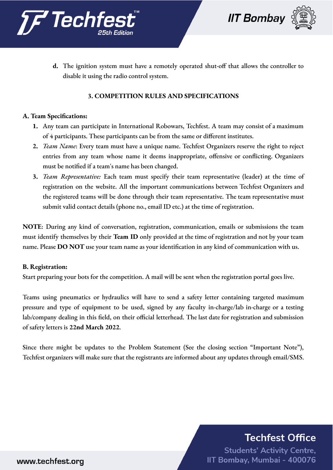



**d.** The ignition system must have a remotely operated shut-off that allows the controller to disable it using the radio control system.

### **3. COMPETITION RULES AND SPECIFICATIONS**

#### **A. Team Specifications:**

- **1.** Any team can participate in International Robowars, Techfest. A team may consist of a maximum of 4 participants. These participants can be from the same or different institutes.
- **2.** *Team Name*: Every team must have a unique name. Techfest Organizers reserve the right to reject entries from any team whose name it deems inappropriate, offensive or conflicting. Organizers must be notified if a team's name has been changed.
- **3.** *Team Representative:* Each team must specify their team representative (leader) at the time of registration on the website. All the important communications between Techfest Organizers and the registered teams will be done through their team representative. The team representative must submit valid contact details (phone no., email ID etc.) at the time of registration.

**NOTE**: During any kind of conversation, registration, communication, emails or submissions the team must identify themselves by their **Team ID** only provided at the time of registration and not by your team name. Please **DO NOT** use your team name as your identification in any kind of communication with us.

#### **B. Registration:**

Start preparing your bots for the competition. A mail will be sent when the registration portal goes live.

Teams using pneumatics or hydraulics will have to send a safety letter containing targeted maximum pressure and type of equipment to be used, signed by any faculty in-charge/lab in-charge or a testing lab/company dealing in this field, on their official letterhead. The last date for registration and submission of safety letters is **22nd March 2022**.

Since there might be updates to the Problem Statement (See the closing section "Important Note"), Techfest organizers will make sure that the registrants are informed about any updates through email/SMS.

## **Techfest Office**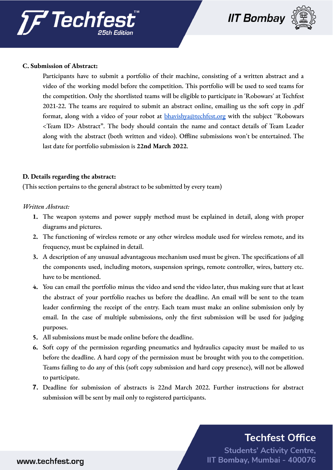



#### **C. Submission of Abstract:**

Participants have to submit a portfolio of their machine, consisting of a written abstract and a video of the working model before the competition. This portfolio will be used to seed teams for the competition. Only the shortlisted teams will be eligible to participate in 'Robowars' at Techfest 2021-22. The teams are required to submit an abstract online, emailing us the soft copy in .pdf format, along with a video of your robot at **[bhavishya@techfest.org](mailto:bhavishya@techfest.org)** with the subject "Robowars <Team ID> Abstract". The body should contain the name and contact details of Team Leader along with the abstract (both written and video). Offline submissions won't be entertained. The last date for portfolio submission is **22nd March 2022**.

#### **D. Details regarding the abstract:**

(This section pertains to the general abstract to be submitted by every team)

#### *Written Abstract:*

- **1.** The weapon systems and power supply method must be explained in detail, along with proper diagrams and pictures.
- **2.** The functioning of wireless remote or any other wireless module used for wireless remote, and its frequency, must be explained in detail.
- **3.** A description of any unusual advantageous mechanism used must be given. The specifications of all the components used, including motors, suspension springs, remote controller, wires, battery etc. have to be mentioned.
- **4.** You can email the portfolio minus the video and send the video later, thus making sure that at least the abstract of your portfolio reaches us before the deadline. An email will be sent to the team leader confirming the receipt of the entry. Each team must make an online submission only by email. In the case of multiple submissions, only the first submission will be used for judging purposes.
- **5.** All submissions must be made online before the deadline.
- **6.** Soft copy of the permission regarding pneumatics and hydraulics capacity must be mailed to us before the deadline. A hard copy of the permission must be brought with you to the competition. Teams failing to do any of this (soft copy submission and hard copy presence), will not be allowed to participate.
- **7.** Deadline for submission of abstracts is 22nd March 2022. Further instructions for abstract submission will be sent by mail only to registered participants.

## **Techfest Office**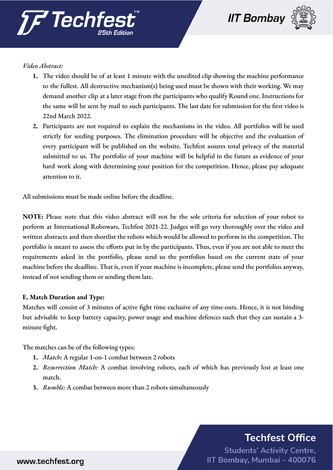



#### *Video Abstract:*

- **1.** The video should be of at least 1 minute with the unedited clip showing the machine performance to the fullest. All destructive mechanism(s) being used must be shown with their working. We may demand another clip at a later stage from the participants who qualify Round one. Instructions for the same will be sent by mail to such participants. The last date for submission for the first video is 22nd March 2022.
- **2.** Participants are not required to explain the mechanisms in the video. All portfolios will be used strictly for seeding purposes. The elimination procedure will be objective and the evaluation of every participant will be published on the website. Techfest assures total privacy of the material submitted to us. The portfolio of your machine will be helpful in the future as evidence of your hard work along with determining your position for the competition. Hence, please pay adequate attention to it.

All submissions must be made online before the deadline.

**NOTE:** Please note that this video abstract will not be the sole criteria for selection of your robot to perform at International Robowars, Techfest 2021-22. Judges will go very thoroughly over the video and written abstracts and then shortlist the robots which would be allowed to perform in the competition. The portfolio is meant to assess the efforts put in by the participants. Thus, even if you are not able to meet the requirements asked in the portfolio, please send us the portfolios based on the current state of your machine before the deadline. That is, even if your machine is incomplete, please send the portfolios anyway, instead of not sending them or sending them late.

#### **E. Match Duration and Type:**

Matches will consist of 3 minutes of active fight time exclusive of any time-outs. Hence, it is not binding but advisable to keep battery capacity, power usage and machine defences such that they can sustain a 3 minute fight.

The matches can be of the following types:

- **1.** *Match:* A regular 1-on-1 combat between 2 robots
- **2.** *Resurrection Match:* A combat involving robots, each of which has previously lost at least one match.
- **3.** *Rumble:* A combat between more than 2 robots simultaneously

## **Techfest Office**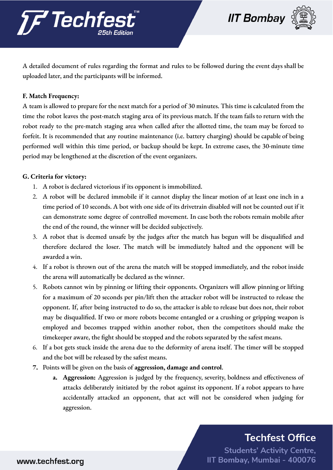



A detailed document of rules regarding the format and rules to be followed during the event days shall be uploaded later, and the participants will be informed.

### **F. Match Frequency:**

A team is allowed to prepare for the next match for a period of 30 minutes. This time is calculated from the time the robot leaves the post-match staging area of its previous match. If the team fails to return with the robot ready to the pre-match staging area when called after the allotted time, the team may be forced to forfeit. It is recommended that any routine maintenance (i.e. battery charging) should be capable of being performed well within this time period, or backup should be kept. In extreme cases, the 30-minute time period may be lengthened at the discretion of the event organizers.

### **G. Criteria for victory:**

- 1. A robot is declared victorious if its opponent is immobilized.
- 2. A robot will be declared immobile if it cannot display the linear motion of at least one inch in a time period of 10 seconds. A bot with one side of its drivetrain disabled will not be counted out if it can demonstrate some degree of controlled movement. In case both the robots remain mobile after the end of the round, the winner will be decided subjectively.
- 3. A robot that is deemed unsafe by the judges after the match has begun will be disqualified and therefore declared the loser. The match will be immediately halted and the opponent will be awarded a win.
- 4. If a robot is thrown out of the arena the match will be stopped immediately, and the robot inside the arena will automatically be declared as the winner.
- 5. Robots cannot win by pinning or lifting their opponents. Organizers will allow pinning or lifting for a maximum of 20 seconds per pin/lift then the attacker robot will be instructed to release the opponent. If, after being instructed to do so, the attacker is able to release but does not, their robot may be disqualified. If two or more robots become entangled or a crushing or gripping weapon is employed and becomes trapped within another robot, then the competitors should make the timekeeper aware, the fight should be stopped and the robots separated by the safest means.
- 6. If a bot gets stuck inside the arena due to the deformity of arena itself. The timer will be stopped and the bot will be released by the safest means.
- **7.** Points will be given on the basis of **aggression, damage and control**.
	- **a. Aggression:** Aggression is judged by the frequency, severity, boldness and effectiveness of attacks deliberately initiated by the robot against its opponent. If a robot appears to have accidentally attacked an opponent, that act will not be considered when judging for aggression.

## **Techfest Office**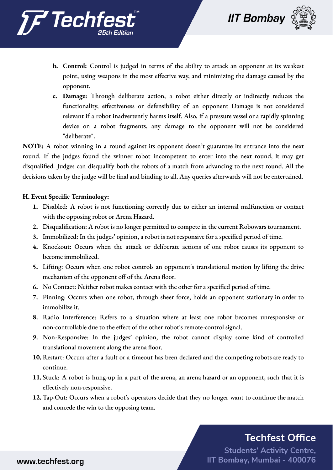





- **b. Control:** Control is judged in terms of the ability to attack an opponent at its weakest point, using weapons in the most effective way, and minimizing the damage caused by the opponent.
- **c. Damage:** Through deliberate action, a robot either directly or indirectly reduces the functionality, effectiveness or defensibility of an opponent Damage is not considered relevant if a robot inadvertently harms itself. Also, if a pressure vessel or a rapidly spinning device on a robot fragments, any damage to the opponent will not be considered "deliberate".

**NOTE:** A robot winning in a round against its opponent doesn't guarantee its entrance into the next round. If the judges found the winner robot incompetent to enter into the next round, it may get disqualified. Judges can disqualify both the robots of a match from advancing to the next round. All the decisions taken by the judge will be final and binding to all. Any queries afterwards will not be entertained.

#### **H. Event Specific Terminology:**

- **1.** Disabled: A robot is not functioning correctly due to either an internal malfunction or contact with the opposing robot or Arena Hazard.
- **2.** Disqualification: A robot is no longer permitted to compete in the current Robowars tournament.
- **3.** Immobilized: In the judges' opinion, a robot is not responsive for a specified period of time.
- **4.** Knockout: Occurs when the attack or deliberate actions of one robot causes its opponent to become immobilized.
- **5.** Lifting: Occurs when one robot controls an opponent's translational motion by lifting the drive mechanism of the opponent off of the Arena floor.
- **6.** No Contact: Neither robot makes contact with the other for a specified period of time.
- **7.** Pinning: Occurs when one robot, through sheer force, holds an opponent stationary in order to immobilize it.
- **8.** Radio Interference: Refers to a situation where at least one robot becomes unresponsive or non-controllable due to the effect of the other robot's remote-control signal.
- **9.** Non-Responsive: In the judges' opinion, the robot cannot display some kind of controlled translational movement along the arena floor.
- **10.** Restart: Occurs after a fault or a timeout has been declared and the competing robots are ready to continue.
- **11.** Stuck: A robot is hung-up in a part of the arena, an arena hazard or an opponent, such that it is effectively non-responsive.
- **12.** Tap-Out: Occurs when a robot's operators decide that they no longer want to continue the match and concede the win to the opposing team.

## **Techfest Office**

**Students' Activity Centre,** IIT Bombay, Mumbai - 400076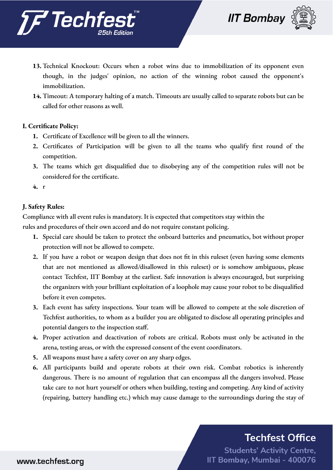



- **13.** Technical Knockout: Occurs when a robot wins due to immobilization of its opponent even though, in the judges' opinion, no action of the winning robot caused the opponent's immobilization.
- **14.** Timeout: A temporary halting of a match. Timeouts are usually called to separate robots but can be called for other reasons as well.

### **I. Certificate Policy:**

- **1.** Certificate of Excellence will be given to all the winners.
- **2.** Certificates of Participation will be given to all the teams who qualify first round of the competition.
- **3.** The teams which get disqualified due to disobeying any of the competition rules will not be considered for the certificate.
- **4.** r

### **J. Safety Rules:**

Compliance with all event rules is mandatory. It is expected that competitors stay within the

rules and procedures of their own accord and do not require constant policing.

- **1.** Special care should be taken to protect the onboard batteries and pneumatics, bot without proper protection will not be allowed to compete.
- **2.** If you have a robot or weapon design that does not fit in this ruleset (even having some elements that are not mentioned as allowed/disallowed in this ruleset) or is somehow ambiguous, please contact Techfest, IIT Bombay at the earliest. Safe innovation is always encouraged, but surprising the organizers with your brilliant exploitation of a loophole may cause your robot to be disqualified before it even competes.
- **3.** Each event has safety inspections. Your team will be allowed to compete at the sole discretion of Techfest authorities, to whom as a builder you are obligated to disclose all operating principles and potential dangers to the inspection staff.
- **4.** Proper activation and deactivation of robots are critical. Robots must only be activated in the arena, testing areas, or with the expressed consent of the event coordinators.
- **5.** All weapons must have a safety cover on any sharp edges.
- **6.** All participants build and operate robots at their own risk. Combat robotics is inherently dangerous. There is no amount of regulation that can encompass all the dangers involved. Please take care to not hurt yourself or others when building, testing and competing. Any kind of activity (repairing, battery handling etc.) which may cause damage to the surroundings during the stay of

## **Techfest Office**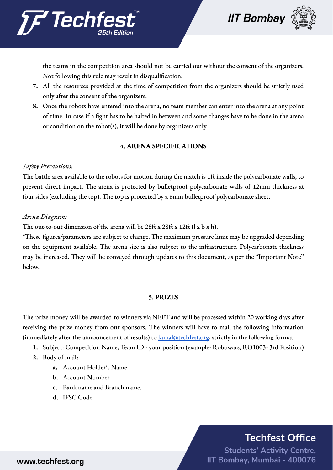

*TF* Techfe

the teams in the competition area should not be carried out without the consent of the organizers. Not following this rule may result in disqualification.

- **7.** All the resources provided at the time of competition from the organizers should be strictly used only after the consent of the organizers.
- **8.** Once the robots have entered into the arena, no team member can enter into the arena at any point of time. In case if a fight has to be halted in between and some changes have to be done in the arena or condition on the robot(s), it will be done by organizers only.

### **4. ARENA SPECIFICATIONS**

### *Safety Precautions:*

The battle area available to the robots for motion during the match is 1ft inside the polycarbonate walls, to prevent direct impact. The arena is protected by bulletproof polycarbonate walls of 12mm thickness at four sides (excluding the top). The top is protected by a 6mm bulletproof polycarbonate sheet.

### *Arena Diagram:*

The out-to-out dimension of the arena will be 28ft x 28ft x 12ft (l x b x h).

\*These figures/parameters are subject to change. The maximum pressure limit may be upgraded depending on the equipment available. The arena size is also subject to the infrastructure. Polycarbonate thickness may be increased. They will be conveyed through updates to this document, as per the "Important Note" below.

#### **5. PRIZES**

The prize money will be awarded to winners via NEFT and will be processed within 20 working days after receiving the prize money from our sponsors. The winners will have to mail the following information (immediately after the announcement of results) to  $k$ unal@techfest.org, strictly in the following format:

- **1.** Subject: Competition Name, Team ID your position (example- Robowars, RO1003- 3rd Position)
- **2.** Body of mail:
	- **a.** Account Holder's Name
	- **b.** Account Number
	- **c.** Bank name and Branch name.
	- **d.** IFSC Code

## **Techfest Office**

**Students' Activity Centre,** IIT Bombay, Mumbai - 400076